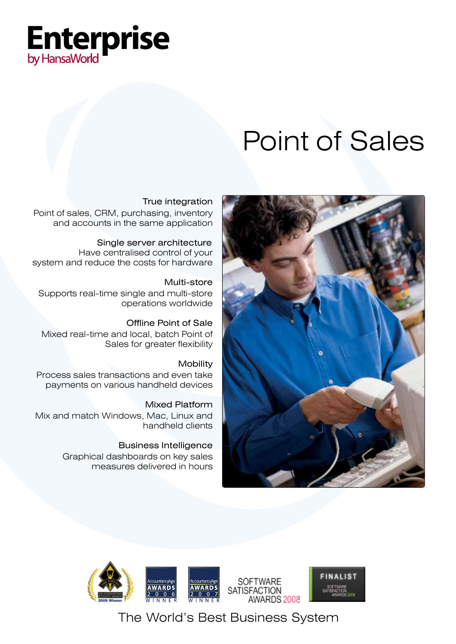

# Point of Sales



# True integration

Point of sales, CRM, purchasing, inventory and accounts in the same application

 Single server architecture Have centralised control of your system and reduce the costs for hardware

Multi-store Supports real-time single and multi-store operations worldwide

 Offline Point of Sale Mixed real-time and local, batch Point of Sales for greater flexibility

**Mobility** Process sales transactions and even take payments on various handheld devices

Mixed Platform Mix and match Windows, Mac, Linux and handheld clients

> Business Intelligence Graphical dashboards on key sales measures delivered in hours



The World's Best Business System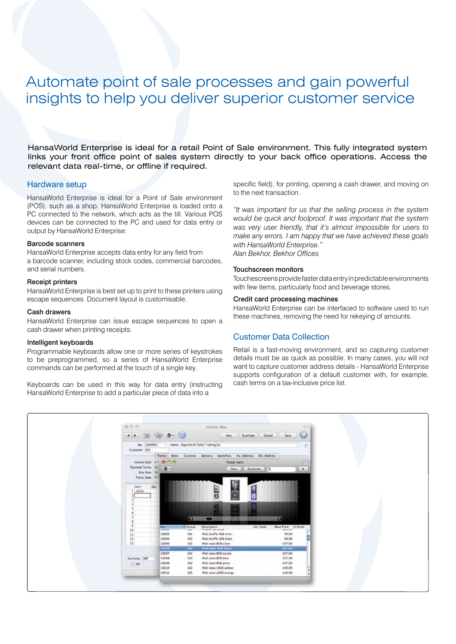# Automate point of sale processes and gain powerful insights to help you deliver superior customer service

HansaWorld Enterprise is ideal for a retail Point of Sale environment. This fully integrated system links your front office point of sales system directly to your back office operations. Access the relevant data real-time, or offline if required.

#### Hardware setup

HansaWorld Enterprise is ideal for a Point of Sale environment (POS), such as a shop. HansaWorld Enterprise is loaded onto a PC connected to the network, which acts as the till. Various POS devices can be connected to the PC and used for data entry or output by HansaWorld Enterprise:

#### Barcode scanners

HansaWorld Enterprise accepts data entry for any field from a barcode scanner, including stock codes, commercial barcodes, and serial numbers.

#### Receipt printers

HansaWorld Enterprise is best set up to print to these printers using escape sequences. Document layout is customisable.

#### Cash drawers

HansaWorld Enterprise can issue escape sequences to open a cash drawer when printing receipts.

#### Intelligent keyboards

Programmable keyboards allow one or more series of keystrokes to be preprogrammed, so a series of HansaWorld Enterprise commands can be performed at the touch of a single key.

Keyboards can be used in this way for data entry (instructing HansaWorld Enterprise to add a particular piece of data into a

specific field), for printing, opening a cash drawer, and moving on to the next transaction.

*"It was important for us that the selling process in the system would be quick and foolproof. It was important that the system was very user friendly, that it's almost impossible for users to make any errors. I am happy that we have achieved these goals with HansaWorld Enterprise." Alan Bekhor, Bekhor Offices*

#### Touchscreen monitors

Touchescreens provide faster data entry in predictable environments with few items, particularly food and beverage stores.

#### Credit card processing machines

HansaWorld Enterprise can be interfaced to software used to run these machines, removing the need for rekeying of amounts.

# Customer Data Collection

Retail is a fast-moving environment, and so capturing customer details must be as quick as possible. In many cases, you will not want to capture customer address details - HansaWorld Enterprise supports configuration of a default customer with, for example, cash terms on a tax-inclusive price list.

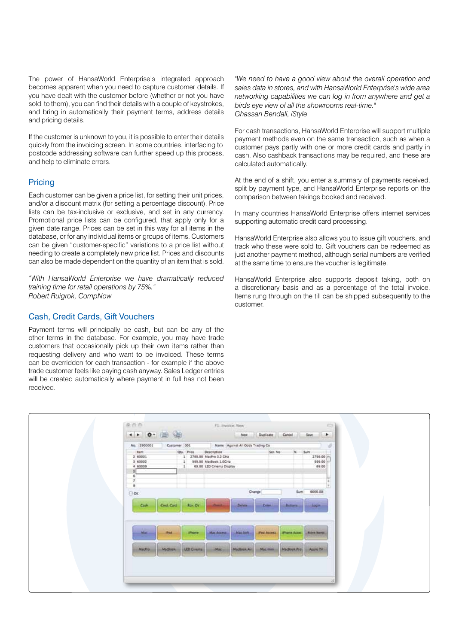The power of HansaWorld Enterprise's integrated approach becomes apparent when you need to capture customer details. If you have dealt with the customer before (whether or not you have sold to them), you can find their details with a couple of keystrokes, and bring in automatically their payment terms, address details and pricing details.

If the customer is unknown to you, it is possible to enter their details quickly from the invoicing screen. In some countries, interfacing to postcode addressing software can further speed up this process, and help to eliminate errors.

# **Pricing**

Each customer can be given a price list, for setting their unit prices, and/or a discount matrix (for setting a percentage discount). Price lists can be tax-inclusive or exclusive, and set in any currency. Promotional price lists can be configured, that apply only for a given date range. Prices can be set in this way for all items in the database, or for any individual items or groups of items. Customers can be given "customer-specific" variations to a price list without needing to create a completely new price list. Prices and discounts can also be made dependent on the quantity of an item that is sold.

*"With HansaWorld Enterprise we have dramatically reduced training time for retail operations by 75%." Robert Ruigrok, CompNow*

# Cash, Credit Cards, Gift Vouchers

Payment terms will principally be cash, but can be any of the other terms in the database. For example, you may have trade customers that occasionally pick up their own items rather than requesting delivery and who want to be invoiced. These terms can be overridden for each transaction - for example if the above trade customer feels like paying cash anyway. Sales Ledger entries will be created automatically where payment in full has not been received.

*"We need to have a good view about the overall operation and sales data in stores, and with HansaWorld Enterprise's wide area networking capabilities we can log in from anywhere and get a birds eye view of all the showrooms real-time." Ghassan Bendali, iStyle*

For cash transactions, HansaWorld Enterprise will support multiple payment methods even on the same transaction, such as when a customer pays partly with one or more credit cards and partly in cash. Also cashback transactions may be required, and these are calculated automatically.

At the end of a shift, you enter a summary of payments received, split by payment type, and HansaWorld Enterprise reports on the comparison between takings booked and received.

In many countries HansaWorld Enterprise offers internet services supporting automatic credit card processing.

HansaWorld Enterprise also allows you to issue gift vouchers, and track who these were sold to. Gift vouchers can be redeemed as just another payment method, although serial numbers are verified at the same time to ensure the voucher is legitimate.

HansaWorld Enterprise also supports deposit taking, both on a discretionary basis and as a percentage of the total invoice. Items rung through on the till can be shipped subsequently to the customer.

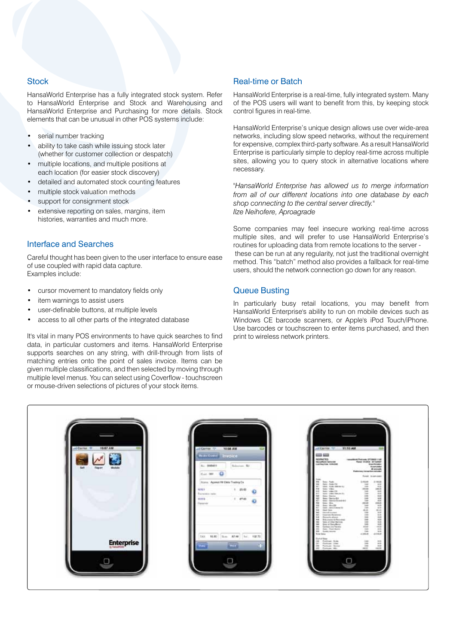# **Stock**

HansaWorld Enterprise has a fully integrated stock system. Refer to HansaWorld Enterprise and Stock and Warehousing and HansaWorld Enterprise and Purchasing for more details. Stock elements that can be unusual in other POS systems include:

- serial number tracking
- ability to take cash while issuing stock later (whether for customer collection or despatch)
- multiple locations, and multiple positions at each location (for easier stock discovery)
- detailed and automated stock counting features
- multiple stock valuation methods
- support for consignment stock
- extensive reporting on sales, margins, item histories, warranties and much more.

# Interface and Searches

Careful thought has been given to the user interface to ensure ease of use coupled with rapid data capture. Examples include:

- cursor movement to mandatory fields only
- item warnings to assist users
- user-definable buttons, at multiple levels
- access to all other parts of the integrated database

It's vital in many POS environments to have quick searches to find data, in particular customers and items. HansaWorld Enterprise supports searches on any string, with drill-through from lists of matching entries onto the point of sales invoice. Items can be given multiple classifications, and then selected by moving through multiple level menus. You can select using Coverflow - touchscreen or mouse-driven selections of pictures of your stock items.

# Real-time or Batch

HansaWorld Enterprise is a real-time, fully integrated system. Many of the POS users will want to benefit from this, by keeping stock control figures in real-time.

HansaWorld Enterprise's unique design allows use over wide-area networks, including slow speed networks, without the requirement for expensive, complex third-party software. As a result HansaWorld Enterprise is particularly simple to deploy real-time across multiple sites, allowing you to query stock in alternative locations where necessary.

*"HansaWorld Enterprise has allowed us to merge information from all of our different locations into one database by each shop connecting to the central server directly." Ilze Neihofere, Aproagrade*

Some companies may feel insecure working real-time across multiple sites, and will prefer to use HansaWorld Enterprise's routines for uploading data from remote locations to the server these can be run at any regularity, not just the traditional overnight method. This "batch" method also provides a fallback for real-time users, should the network connection go down for any reason.

# Queue Busting

In particularly busy retail locations, you may benefit from HansaWorld Enterprise's ability to run on mobile devices such as Windows CE barcode scanners, or Apple's iPod Touch/iPhone. Use barcodes or touchscreen to enter items purchased, and then print to wireless network printers.

| 10:57 AM<br><b>Jul Carrier #</b>         | 10:56 AM<br><b>IN CATTAR  TIP.</b><br><b>NATIONAL</b><br>nvoice                                                         | AM Carrier . TO  11:10 AM<br>≕<br><b>COLOR SHOP</b><br>NONCTO<br>Installated Probase (PTIRKS 1128)                                                                                                                                                                                                                                                                                                                                                                                                                                                                                                                                                                                                                              |
|------------------------------------------|-------------------------------------------------------------------------------------------------------------------------|---------------------------------------------------------------------------------------------------------------------------------------------------------------------------------------------------------------------------------------------------------------------------------------------------------------------------------------------------------------------------------------------------------------------------------------------------------------------------------------------------------------------------------------------------------------------------------------------------------------------------------------------------------------------------------------------------------------------------------|
| <b>Neil</b><br><b>Fitable!</b><br>Module | Science, SJ<br>No. 99694001<br>East. 009                                                                                | <b>Nota Rock Springer</b><br>Page system announce<br>Lost Readlism: 10-Midlism<br><b>Band Bringer</b><br><b>Business Andrew</b><br><b>All antimetic</b><br><b>Paterney to series science</b>                                                                                                                                                                                                                                                                                                                                                                                                                                                                                                                                    |
|                                          | Horn / Apend M Ohio Traders Co.<br>25.00<br>12121<br>٠<br>۰<br>Transiston index<br>$V$ 4740<br>MHTS<br>ø<br>Theoderiche | <b>Road Argentian</b><br><b>Lake</b><br><b>Big</b><br>Linker.<br>1 2 106.00<br>Terri Addition<br>$_{\rm ext}$<br>. pat-<br>$\frac{1}{2}$<br>THERE IS NOW CONTINUES.<br>Total .<br>m.<br>198.01<br>$-0.44$<br>414<br>Seni Vites<br>нинийни<br><b>AssessinaBeau</b><br>Sec  pas lik<br>4.05<br>legal "ships fibrate.com<br><b>Sec.</b><br>430<br>Says Teacher<br>See Details<br>48<br><b>ALL</b><br>Sept. Mix.<br>tas<br>Jan Walls<br>$^{44}$<br>State - Global Christmas Ville<br>÷<br>times have<br>to:<br>Transferenced<br>tel:<br>Toyota, Assetsor<br><b>And</b><br>Batanto alcosa.<br>m<br><b>RIGHT</b><br><b>Bakerbacker for Researchi</b><br>Sales at Cher Harrison<br>$\overline{\phantom{a}}$<br>w<br>Gost or Devolkenzi |
| <b>Enterprise</b>                        | 15.30 Sec. 87.00 Inc.<br>128.75<br>tax<br><b>STATISTICS</b><br><b>THE</b><br>۰                                          | $\overline{a}$<br>Same in farmy<br>$\frac{4}{3}$<br>$\equiv$<br>Ratz, Post Bornt<br>$-$<br>Andersons<br>$+10.05$<br>$-1285-6$<br><b>Tring Sales</b><br>Exist of Water<br>(M. Fathwell Role)<br>Ä<br>146<br>H.<br>date."<br>Fortune: 2244<br>m.<br>Failum Sena<br>20 Future Vol.                                                                                                                                                                                                                                                                                                                                                                                                                                                 |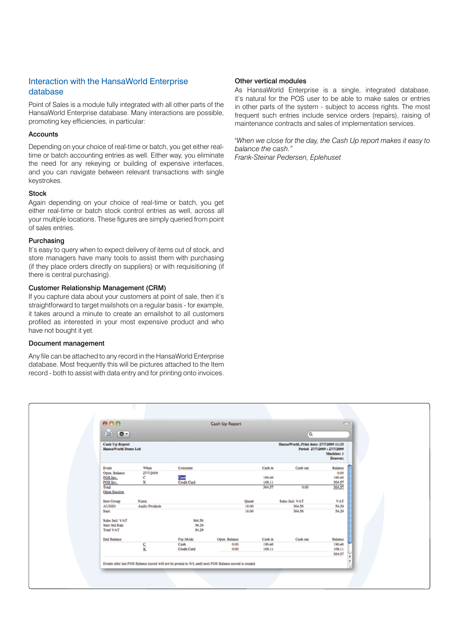# Interaction with the HansaWorld Enterprise database

Point of Sales is a module fully integrated with all other parts of the HansaWorld Enterprise database. Many interactions are possible, promoting key efficiencies, in particular:

#### **Accounts**

Depending on your choice of real-time or batch, you get either realtime or batch accounting entries as well. Either way, you eliminate the need for any rekeying or building of expensive interfaces, and you can navigate between relevant transactions with single keystrokes.

#### **Stock**

Again depending on your choice of real-time or batch, you get either real-time or batch stock control entries as well, across all your multiple locations. These figures are simply queried from point of sales entries.

#### Purchasing

It's easy to query when to expect delivery of items out of stock, and store managers have many tools to assist them with purchasing (if they place orders directly on suppliers) or with requisitioning (if there is central purchasing).

#### Customer Relationship Management (CRM)

If you capture data about your customers at point of sale, then it's straightforward to target mailshots on a regular basis - for example, it takes around a minute to create an emailshot to all customers profiled as interested in your most expensive product and who have not bought it yet.

#### Document management

Any file can be attached to any record in the HansaWorld Enterprise database. Most frequently this will be pictures attached to the Item record - both to assist with data entry and for printing onto invoices.

# Other vertical modules

As HansaWorld Enterprise is a single, integrated database, it's natural for the POS user to be able to make sales or entries in other parts of the system - subject to access rights. The most frequent such entries include service orders (repairs), raising of maintenance contracts and sales of implementation services.

*"When we close for the day, the Cash Up report makes it easy to balance the cash."*

*Frank-Steinar Pedersen, Eplehuset*

|                                               |                |                                   | Cash Up Report |       |         |                                         | $\bigcirc$                                            |
|-----------------------------------------------|----------------|-----------------------------------|----------------|-------|---------|-----------------------------------------|-------------------------------------------------------|
| $\sqrt{2}$<br>≘.<br>Q                         |                |                                   |                |       |         |                                         |                                                       |
| <b>Cash Up Report</b><br>HansaWorld Demo Ltd. |                |                                   |                |       |         | HansaWorld, Print date: 27/7/2009 11:33 | Period 27/7/2009 : 27/7/2009<br>Machine: 1<br>Drawer: |
| Event                                         | When           | Comment                           |                |       | Cash in | Cash out                                | Balance                                               |
| Open. Balance                                 | 27/7/2009      |                                   |                |       |         |                                         | 0.00                                                  |
| POS Inv.                                      | c              | <mark>Contr</mark><br>Credit Card |                |       | 196.46  |                                         | 196.46                                                |
| <b>POS Inv.</b>                               | x              |                                   |                |       | 168.11  |                                         | 364.57                                                |
| Total<br>Open Session                         |                |                                   |                |       | 364.57  | 0.00                                    | 364.57                                                |
| <b>Item Group</b>                             | Name           |                                   |                | Quant |         | Sales Incl. VAT                         | VAT                                                   |
| <b>AUDIO</b>                                  | Audio Products |                                   |                | 16.00 |         | 364.56                                  | 54.29                                                 |
| Sum                                           |                |                                   |                | 16.00 |         | 364.56                                  | 54.29                                                 |
| Sales Incl. VAT                               |                | 364.56                            |                |       |         |                                         |                                                       |
| Sum Std Rate                                  |                | 54.29                             |                |       |         |                                         |                                                       |
| <b>Total VAT</b>                              |                | 54.29                             |                |       |         |                                         |                                                       |
| End Balance                                   |                | Pay Mode                          | Open. Balance  |       | Cash in | Cash out                                | Balance                                               |
|                                               | 듩              | Cash                              | 0.00           |       | 196.46  |                                         | 196.46                                                |
|                                               |                | <b>Credit Card</b>                | 0.00           |       | 168.11  |                                         | 168.11                                                |
|                                               |                |                                   |                |       |         |                                         | 364.57                                                |